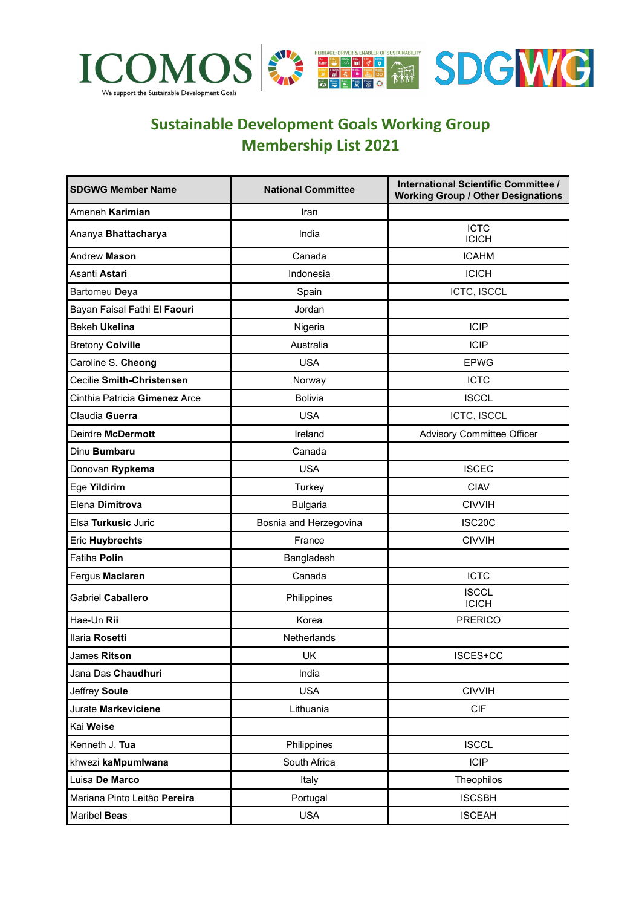

## **Sustainable Development Goals Working Group Membership List 2021**

| <b>SDGWG Member Name</b>      | <b>National Committee</b> | International Scientific Committee /<br><b>Working Group / Other Designations</b> |
|-------------------------------|---------------------------|-----------------------------------------------------------------------------------|
| Ameneh Karimian               | Iran                      |                                                                                   |
| Ananya Bhattacharya           | India                     | <b>ICTC</b><br><b>ICICH</b>                                                       |
| Andrew Mason                  | Canada                    | <b>ICAHM</b>                                                                      |
| Asanti Astari                 | Indonesia                 | <b>ICICH</b>                                                                      |
| Bartomeu Deya                 | Spain                     | ICTC, ISCCL                                                                       |
| Bayan Faisal Fathi El Faouri  | Jordan                    |                                                                                   |
| <b>Bekeh Ukelina</b>          | Nigeria                   | ICIP                                                                              |
| <b>Bretony Colville</b>       | Australia                 | <b>ICIP</b>                                                                       |
| Caroline S. Cheong            | <b>USA</b>                | <b>EPWG</b>                                                                       |
| Cecilie Smith-Christensen     | Norway                    | <b>ICTC</b>                                                                       |
| Cinthia Patricia Gimenez Arce | <b>Bolivia</b>            | <b>ISCCL</b>                                                                      |
| Claudia Guerra                | <b>USA</b>                | <b>ICTC, ISCCL</b>                                                                |
| Deirdre McDermott             | Ireland                   | Advisory Committee Officer                                                        |
| Dinu Bumbaru                  | Canada                    |                                                                                   |
| Donovan Rypkema               | <b>USA</b>                | <b>ISCEC</b>                                                                      |
| Ege Yildirim                  | Turkey                    | <b>CIAV</b>                                                                       |
| Elena Dimitrova               | <b>Bulgaria</b>           | <b>CIVVIH</b>                                                                     |
| Elsa Turkusic Juric           | Bosnia and Herzegovina    | <b>ISC20C</b>                                                                     |
| <b>Eric Huybrechts</b>        | France                    | <b>CIVVIH</b>                                                                     |
| Fatiha Polin                  | Bangladesh                |                                                                                   |
| Fergus Maclaren               | Canada                    | <b>ICTC</b>                                                                       |
| <b>Gabriel Caballero</b>      | Philippines               | <b>ISCCL</b><br><b>ICICH</b>                                                      |
| Hae-Un Rii                    | Korea                     | <b>PRERICO</b>                                                                    |
| Ilaria Rosetti                | Netherlands               |                                                                                   |
| James Ritson                  | <b>UK</b>                 | ISCES+CC                                                                          |
| Jana Das Chaudhuri            | India                     |                                                                                   |
| Jeffrey Soule                 | <b>USA</b>                | <b>CIVVIH</b>                                                                     |
| Jurate Markeviciene           | Lithuania                 | <b>CIF</b>                                                                        |
| Kai Weise                     |                           |                                                                                   |
| Kenneth J. Tua                | Philippines               | <b>ISCCL</b>                                                                      |
| khwezi kaMpumlwana            | South Africa              | <b>ICIP</b>                                                                       |
| Luisa De Marco                | Italy                     | Theophilos                                                                        |
| Mariana Pinto Leitão Pereira  | Portugal                  | <b>ISCSBH</b>                                                                     |
| Maribel Beas                  | <b>USA</b>                | <b>ISCEAH</b>                                                                     |